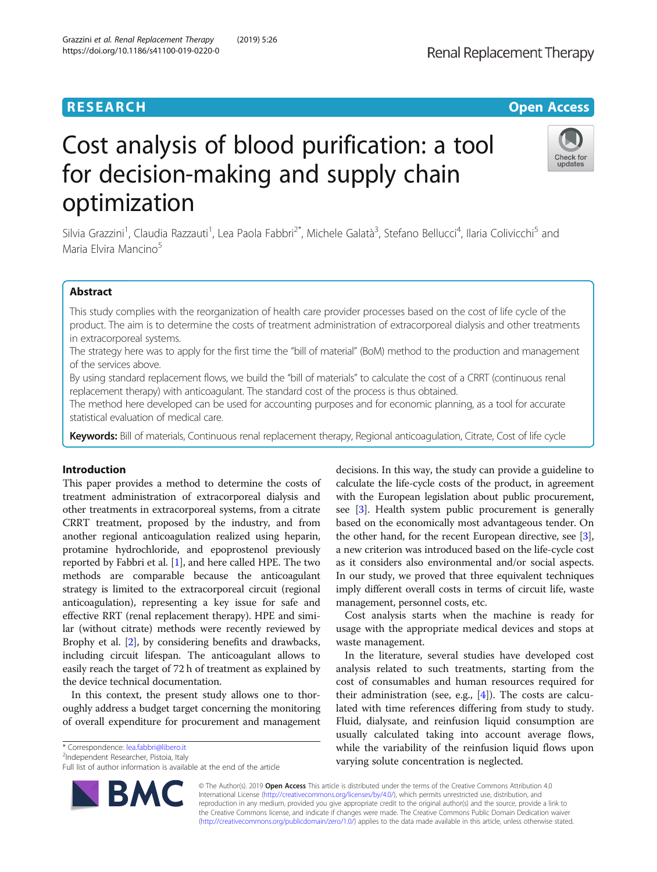# Cost analysis of blood purification: a tool for decision-making and supply chain optimization

Silvia Grazzini<sup>1</sup>, Claudia Razzauti<sup>1</sup>, Lea Paola Fabbri<sup>2\*</sup>, Michele Galatà<sup>3</sup>, Stefano Bellucci<sup>4</sup>, Ilaria Colivicchi<sup>5</sup> and Maria Elvira Mancino<sup>5</sup>

# Abstract

This study complies with the reorganization of health care provider processes based on the cost of life cycle of the product. The aim is to determine the costs of treatment administration of extracorporeal dialysis and other treatments in extracorporeal systems.

The strategy here was to apply for the first time the "bill of material" (BoM) method to the production and management of the services above.

By using standard replacement flows, we build the "bill of materials" to calculate the cost of a CRRT (continuous renal replacement therapy) with anticoagulant. The standard cost of the process is thus obtained.

The method here developed can be used for accounting purposes and for economic planning, as a tool for accurate statistical evaluation of medical care.

Keywords: Bill of materials, Continuous renal replacement therapy, Regional anticoagulation, Citrate, Cost of life cycle

# Introduction

This paper provides a method to determine the costs of treatment administration of extracorporeal dialysis and other treatments in extracorporeal systems, from a citrate CRRT treatment, proposed by the industry, and from another regional anticoagulation realized using heparin, protamine hydrochloride, and epoprostenol previously reported by Fabbri et al. [\[1\]](#page-7-0), and here called HPE. The two methods are comparable because the anticoagulant strategy is limited to the extracorporeal circuit (regional anticoagulation), representing a key issue for safe and effective RRT (renal replacement therapy). HPE and similar (without citrate) methods were recently reviewed by Brophy et al. [\[2\]](#page-7-0), by considering benefits and drawbacks, including circuit lifespan. The anticoagulant allows to easily reach the target of 72 h of treatment as explained by the device technical documentation.

In this context, the present study allows one to thoroughly address a budget target concerning the monitoring of overall expenditure for procurement and management

\* Correspondence: [lea.fabbri@libero.it](mailto:lea.fabbri@libero.it) <sup>2</sup>

<sup>2</sup>Independent Researcher, Pistoia, Italy

**BM** 



usage with the appropriate medical devices and stops at waste management.

In the literature, several studies have developed cost analysis related to such treatments, starting from the cost of consumables and human resources required for their administration (see, e.g.,  $[4]$  $[4]$ ). The costs are calculated with time references differing from study to study. Fluid, dialysate, and reinfusion liquid consumption are usually calculated taking into account average flows, while the variability of the reinfusion liquid flows upon varying solute concentration is neglected.

© The Author(s). 2019 **Open Access** This article is distributed under the terms of the Creative Commons Attribution 4.0 International License [\(http://creativecommons.org/licenses/by/4.0/](http://creativecommons.org/licenses/by/4.0/)), which permits unrestricted use, distribution, and reproduction in any medium, provided you give appropriate credit to the original author(s) and the source, provide a link to the Creative Commons license, and indicate if changes were made. The Creative Commons Public Domain Dedication waiver [\(http://creativecommons.org/publicdomain/zero/1.0/](http://creativecommons.org/publicdomain/zero/1.0/)) applies to the data made available in this article, unless otherwise stated.

https://doi.org/10.1186/s41100-019-0220-0



Full list of author information is available at the end of the article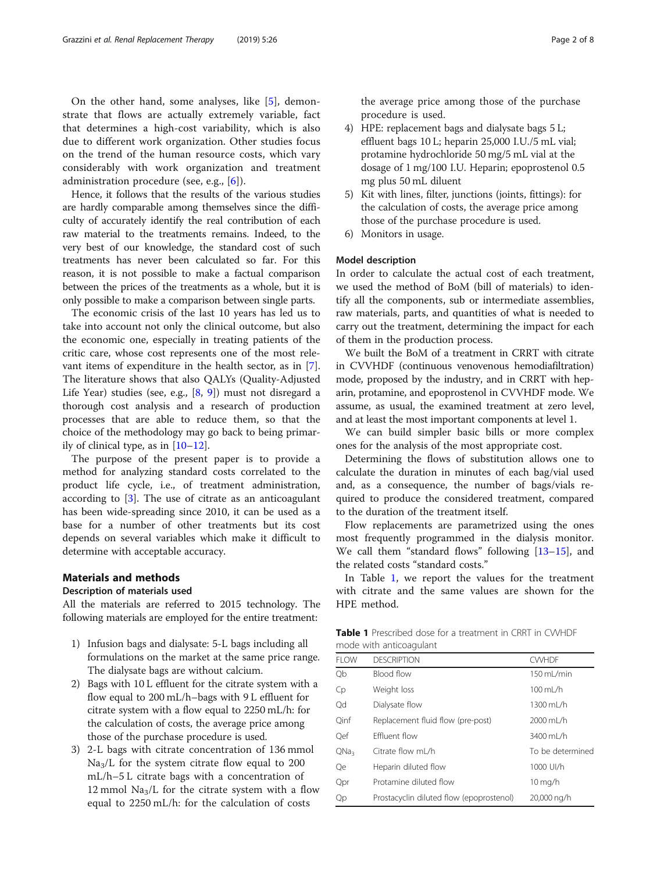<span id="page-1-0"></span>On the other hand, some analyses, like [\[5](#page-7-0)], demonstrate that flows are actually extremely variable, fact that determines a high-cost variability, which is also due to different work organization. Other studies focus on the trend of the human resource costs, which vary considerably with work organization and treatment administration procedure (see, e.g., [\[6](#page-7-0)]).

Hence, it follows that the results of the various studies are hardly comparable among themselves since the difficulty of accurately identify the real contribution of each raw material to the treatments remains. Indeed, to the very best of our knowledge, the standard cost of such treatments has never been calculated so far. For this reason, it is not possible to make a factual comparison between the prices of the treatments as a whole, but it is only possible to make a comparison between single parts.

The economic crisis of the last 10 years has led us to take into account not only the clinical outcome, but also the economic one, especially in treating patients of the critic care, whose cost represents one of the most relevant items of expenditure in the health sector, as in [\[7](#page-7-0)]. The literature shows that also QALYs (Quality-Adjusted Life Year) studies (see, e.g., [\[8,](#page-7-0) [9\]](#page-7-0)) must not disregard a thorough cost analysis and a research of production processes that are able to reduce them, so that the choice of the methodology may go back to being primarily of clinical type, as in  $[10-12]$  $[10-12]$  $[10-12]$ .

The purpose of the present paper is to provide a method for analyzing standard costs correlated to the product life cycle, i.e., of treatment administration, according to [[3\]](#page-7-0). The use of citrate as an anticoagulant has been wide-spreading since 2010, it can be used as a base for a number of other treatments but its cost depends on several variables which make it difficult to determine with acceptable accuracy.

# Materials and methods

# Description of materials used

All the materials are referred to 2015 technology. The following materials are employed for the entire treatment:

- 1) Infusion bags and dialysate: 5-L bags including all formulations on the market at the same price range. The dialysate bags are without calcium.
- 2) Bags with 10 L effluent for the citrate system with a flow equal to 200 mL/h–bags with 9 L effluent for citrate system with a flow equal to 2250 mL/h: for the calculation of costs, the average price among those of the purchase procedure is used.
- 3) 2-L bags with citrate concentration of 136 mmol  $\text{Na}_3/\text{L}$  for the system citrate flow equal to 200 mL/h–5 L citrate bags with a concentration of 12 mmol  $\text{Na}_3/\text{L}$  for the citrate system with a flow equal to 2250 mL/h: for the calculation of costs

the average price among those of the purchase procedure is used.

- 4) HPE: replacement bags and dialysate bags 5 L; effluent bags 10 L; heparin 25,000 I.U./5 mL vial; protamine hydrochloride 50 mg/5 mL vial at the dosage of 1 mg/100 I.U. Heparin; epoprostenol 0.5 mg plus 50 mL diluent
- 5) Kit with lines, filter, junctions (joints, fittings): for the calculation of costs, the average price among those of the purchase procedure is used.
- 6) Monitors in usage.

# Model description

In order to calculate the actual cost of each treatment, we used the method of BoM (bill of materials) to identify all the components, sub or intermediate assemblies, raw materials, parts, and quantities of what is needed to carry out the treatment, determining the impact for each of them in the production process.

We built the BoM of a treatment in CRRT with citrate in CVVHDF (continuous venovenous hemodiafiltration) mode, proposed by the industry, and in CRRT with heparin, protamine, and epoprostenol in CVVHDF mode. We assume, as usual, the examined treatment at zero level, and at least the most important components at level 1.

We can build simpler basic bills or more complex ones for the analysis of the most appropriate cost.

Determining the flows of substitution allows one to calculate the duration in minutes of each bag/vial used and, as a consequence, the number of bags/vials required to produce the considered treatment, compared to the duration of the treatment itself.

Flow replacements are parametrized using the ones most frequently programmed in the dialysis monitor. We call them "standard flows" following [[13](#page-7-0)-[15](#page-7-0)], and the related costs "standard costs."

In Table 1, we report the values for the treatment with citrate and the same values are shown for the HPE method.

Table 1 Prescribed dose for a treatment in CRRT in CWHDF mode with anticoagulant

|                  | iiivac witii ariticoagaiarit             |                  |
|------------------|------------------------------------------|------------------|
| <b>FLOW</b>      | <b>DESCRIPTION</b>                       | <b>CWHDF</b>     |
| Qb               | Blood flow                               | 150 mL/min       |
| Cp               | Weight loss                              | 100 mL/h         |
| Qd               | Dialysate flow                           | 1300 mL/h        |
| Oinf             | Replacement fluid flow (pre-post)        | 2000 mL/h        |
| Oef              | <b>Fffluent flow</b>                     | 3400 ml /h       |
| QNa <sub>3</sub> | Citrate flow mL/h                        | To be determined |
| Qe               | Heparin diluted flow                     | 1000 UI/h        |
| Qpr              | Protamine diluted flow                   | 10 mg/h          |
| Qp               | Prostacyclin diluted flow (epoprostenol) | 20,000 ng/h      |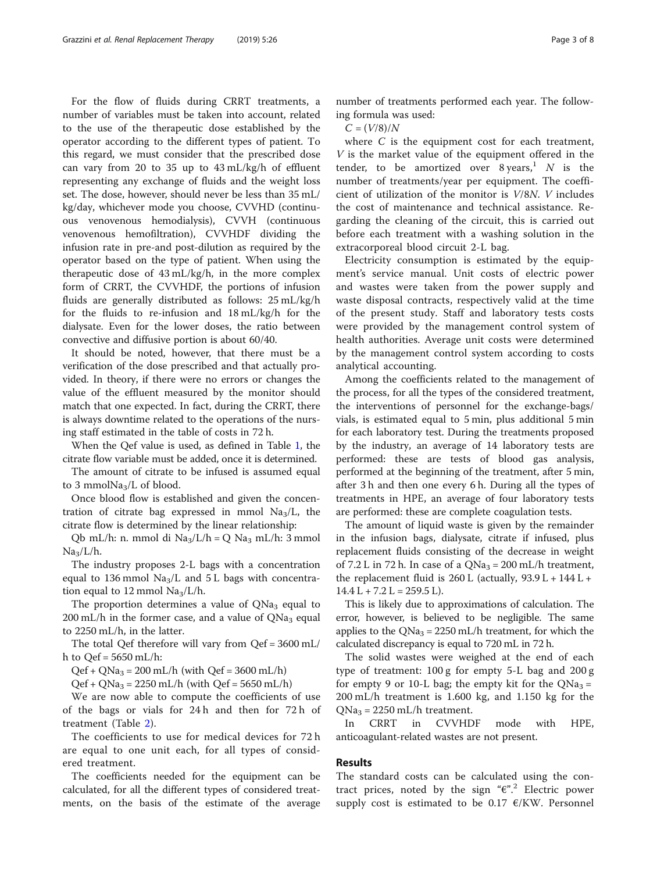For the flow of fluids during CRRT treatments, a number of variables must be taken into account, related to the use of the therapeutic dose established by the operator according to the different types of patient. To this regard, we must consider that the prescribed dose can vary from 20 to 35 up to 43 mL/kg/h of effluent representing any exchange of fluids and the weight loss set. The dose, however, should never be less than 35 mL/ kg/day, whichever mode you choose, CVVHD (continuous venovenous hemodialysis), CVVH (continuous venovenous hemofiltration), CVVHDF dividing the infusion rate in pre-and post-dilution as required by the operator based on the type of patient. When using the therapeutic dose of 43 mL/kg/h, in the more complex form of CRRT, the CVVHDF, the portions of infusion fluids are generally distributed as follows: 25 mL/kg/h for the fluids to re-infusion and 18 mL/kg/h for the dialysate. Even for the lower doses, the ratio between convective and diffusive portion is about 60/40.

It should be noted, however, that there must be a verification of the dose prescribed and that actually provided. In theory, if there were no errors or changes the value of the effluent measured by the monitor should match that one expected. In fact, during the CRRT, there is always downtime related to the operations of the nursing staff estimated in the table of costs in 72 h.

When the Qef value is used, as defined in Table [1](#page-1-0), the citrate flow variable must be added, once it is determined.

The amount of citrate to be infused is assumed equal to 3 mmol $Na<sub>3</sub>/L$  of blood.

Once blood flow is established and given the concentration of citrate bag expressed in mmol  $\text{Na}_3/\text{L}$ , the citrate flow is determined by the linear relationship:

Qb mL/h: n. mmol di Na<sub>3</sub>/L/h = Q Na<sub>3</sub> mL/h: 3 mmol  $Na<sub>3</sub>/L/h$ .

The industry proposes 2-L bags with a concentration equal to 136 mmol  $Na<sub>3</sub>/L$  and 5 L bags with concentration equal to 12 mmol  $Na<sub>3</sub>/L/h$ .

The proportion determines a value of  $QNa<sub>3</sub>$  equal to 200 mL/h in the former case, and a value of  $QNa<sub>3</sub>$  equal to 2250 mL/h, in the latter.

The total Qef therefore will vary from Qef = 3600 mL/ h to  $\text{Oef} = 5650 \text{ mL/h}$ :

 $Qef + QNa_3 = 200$  mL/h (with  $Qef = 3600$  mL/h)

 $Qef + QNa_3 = 2250$  mL/h (with  $Qef = 5650$  mL/h)

We are now able to compute the coefficients of use of the bags or vials for 24 h and then for 72 h of treatment (Table [2](#page-3-0)).

The coefficients to use for medical devices for 72 h are equal to one unit each, for all types of considered treatment.

The coefficients needed for the equipment can be calculated, for all the different types of considered treatments, on the basis of the estimate of the average

number of treatments performed each year. The following formula was used:

 $C = (V/8)/N$ 

where C is the equipment cost for each treatment, V is the market value of the equipment offered in the tender, to be amortized over  $8 \text{ years}$ ,  $N$  is the number of treatments/year per equipment. The coefficient of utilization of the monitor is V/8N. V includes the cost of maintenance and technical assistance. Regarding the cleaning of the circuit, this is carried out before each treatment with a washing solution in the extracorporeal blood circuit 2-L bag.

Electricity consumption is estimated by the equipment's service manual. Unit costs of electric power and wastes were taken from the power supply and waste disposal contracts, respectively valid at the time of the present study. Staff and laboratory tests costs were provided by the management control system of health authorities. Average unit costs were determined by the management control system according to costs analytical accounting.

Among the coefficients related to the management of the process, for all the types of the considered treatment, the interventions of personnel for the exchange-bags/ vials, is estimated equal to 5 min, plus additional 5 min for each laboratory test. During the treatments proposed by the industry, an average of 14 laboratory tests are performed: these are tests of blood gas analysis, performed at the beginning of the treatment, after 5 min, after 3 h and then one every 6 h. During all the types of treatments in HPE, an average of four laboratory tests are performed: these are complete coagulation tests.

The amount of liquid waste is given by the remainder in the infusion bags, dialysate, citrate if infused, plus replacement fluids consisting of the decrease in weight of 7.2 L in 72 h. In case of a  $QNa<sub>3</sub> = 200$  mL/h treatment, the replacement fluid is  $260$  L (actually,  $93.9$  L +  $144$  L +  $14.4 L + 7.2 L = 259.5 L$ .

This is likely due to approximations of calculation. The error, however, is believed to be negligible. The same applies to the  $QNa<sub>3</sub> = 2250$  mL/h treatment, for which the calculated discrepancy is equal to 720 mL in 72 h.

The solid wastes were weighed at the end of each type of treatment: 100 g for empty 5-L bag and 200 g for empty 9 or 10-L bag; the empty kit for the  $QNa<sub>3</sub> =$ 200 mL/h treatment is 1.600 kg, and 1.150 kg for the  $QNa<sub>3</sub> = 2250$  mL/h treatment.

In CRRT in CVVHDF mode with HPE, anticoagulant-related wastes are not present.

# Results

The standard costs can be calculated using the contract prices, noted by the sign " $\varepsilon$ ".<sup>2</sup> Electric power supply cost is estimated to be 0.17  $\epsilon$ /KW. Personnel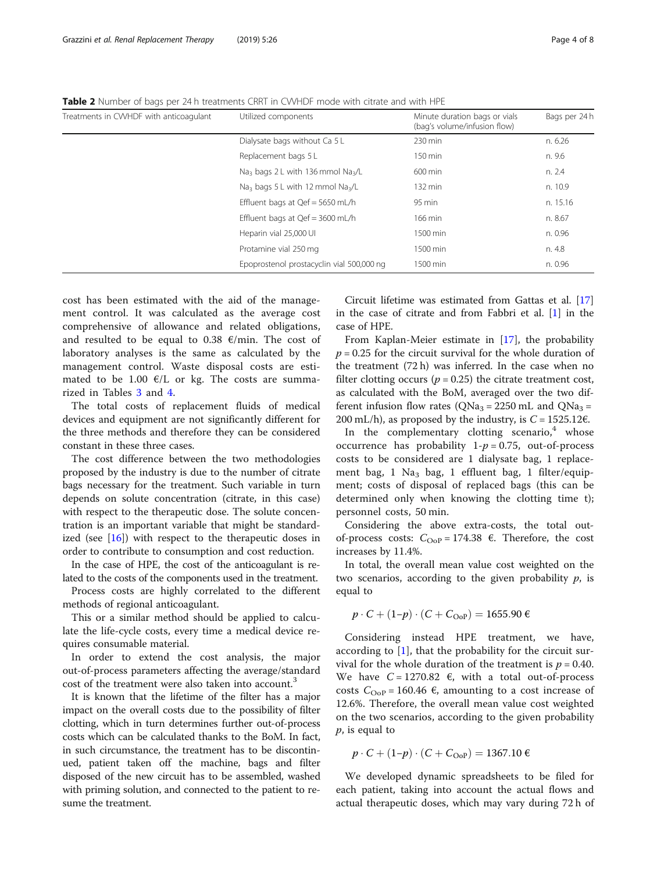| Treatments in CWHDF with anticoagulant | Utilized components                                       | Minute duration bags or vials<br>(bag's volume/infusion flow) | Bags per 24 h |
|----------------------------------------|-----------------------------------------------------------|---------------------------------------------------------------|---------------|
|                                        | Dialysate bags without Ca 5 L                             | 230 min                                                       | n. 6.26       |
|                                        | Replacement bags 5 L                                      | 150 min                                                       | n. 9.6        |
|                                        | Na <sub>3</sub> bags 2 L with 136 mmol Na <sub>3</sub> /L | $600 \text{ min}$                                             | n. 2.4        |
|                                        | Na <sub>3</sub> bags 5 L with 12 mmol Na <sub>3</sub> /L  | $132 \text{ min}$                                             | n. 10.9       |
|                                        | Effluent bags at $Qef = 5650$ mL/h                        | 95 min                                                        | n. 15.16      |
|                                        | Effluent bags at $Qef = 3600$ mL/h                        | 166 min                                                       | n. 8.67       |
|                                        | Heparin vial 25,000 UI                                    | 1500 min                                                      | n. 0.96       |
|                                        | Protamine vial 250 mg                                     | 1500 min                                                      | n. 4.8        |
|                                        | Epoprostenol prostacyclin vial 500,000 ng                 | 1500 min                                                      | n. 0.96       |

<span id="page-3-0"></span>Table 2 Number of bags per 24 h treatments CRRT in CWHDF mode with citrate and with HPE

cost has been estimated with the aid of the management control. It was calculated as the average cost comprehensive of allowance and related obligations, and resulted to be equal to 0.38  $\epsilon$ /min. The cost of laboratory analyses is the same as calculated by the management control. Waste disposal costs are estimated to be 1.00  $\epsilon$ /L or kg. The costs are summarized in Tables [3](#page-4-0) and [4.](#page-5-0)

The total costs of replacement fluids of medical devices and equipment are not significantly different for the three methods and therefore they can be considered constant in these three cases.

The cost difference between the two methodologies proposed by the industry is due to the number of citrate bags necessary for the treatment. Such variable in turn depends on solute concentration (citrate, in this case) with respect to the therapeutic dose. The solute concentration is an important variable that might be standardized (see [\[16](#page-7-0)]) with respect to the therapeutic doses in order to contribute to consumption and cost reduction.

In the case of HPE, the cost of the anticoagulant is related to the costs of the components used in the treatment.

Process costs are highly correlated to the different methods of regional anticoagulant.

This or a similar method should be applied to calculate the life-cycle costs, every time a medical device requires consumable material.

In order to extend the cost analysis, the major out-of-process parameters affecting the average/standard cost of the treatment were also taken into account.<sup>3</sup>

It is known that the lifetime of the filter has a major impact on the overall costs due to the possibility of filter clotting, which in turn determines further out-of-process costs which can be calculated thanks to the BoM. In fact, in such circumstance, the treatment has to be discontinued, patient taken off the machine, bags and filter disposed of the new circuit has to be assembled, washed with priming solution, and connected to the patient to resume the treatment.

Circuit lifetime was estimated from Gattas et al. [[17](#page-7-0)] in the case of citrate and from Fabbri et al.  $[1]$  $[1]$  in the case of HPE.

From Kaplan-Meier estimate in [[17](#page-7-0)], the probability  $p = 0.25$  for the circuit survival for the whole duration of the treatment (72 h) was inferred. In the case when no filter clotting occurs ( $p = 0.25$ ) the citrate treatment cost, as calculated with the BoM, averaged over the two different infusion flow rates ( $QNa<sub>3</sub> = 2250$  mL and  $QNa<sub>3</sub> =$ 200 mL/h), as proposed by the industry, is  $C = 1525.12 \epsilon$ .

In the complementary clotting scenario, $4$  whose occurrence has probability  $1-p = 0.75$ , out-of-process costs to be considered are 1 dialysate bag, 1 replacement bag, 1 Na<sub>3</sub> bag, 1 effluent bag, 1 filter/equipment; costs of disposal of replaced bags (this can be determined only when knowing the clotting time t); personnel costs, 50 min.

Considering the above extra-costs, the total outof-process costs:  $C_{\text{OoP}} = 174.38$  €. Therefore, the cost increases by 11.4%.

In total, the overall mean value cost weighted on the two scenarios, according to the given probability  $p$ , is equal to

$$
p \cdot C + (1-p) \cdot (C + C_{\text{OoP}}) = 1655.90 \,\epsilon
$$

Considering instead HPE treatment, we have, according to  $[1]$  $[1]$ , that the probability for the circuit survival for the whole duration of the treatment is  $p = 0.40$ . We have  $C = 1270.82$   $\epsilon$ , with a total out-of-process costs  $C_{\text{OoP}} = 160.46 \text{ } \epsilon$ , amounting to a cost increase of 12.6%. Therefore, the overall mean value cost weighted on the two scenarios, according to the given probability p, is equal to

$$
p \cdot C + (1 - p) \cdot (C + C_{\text{OoP}}) = 1367.10 \, \text{G}
$$

We developed dynamic spreadsheets to be filed for each patient, taking into account the actual flows and actual therapeutic doses, which may vary during 72 h of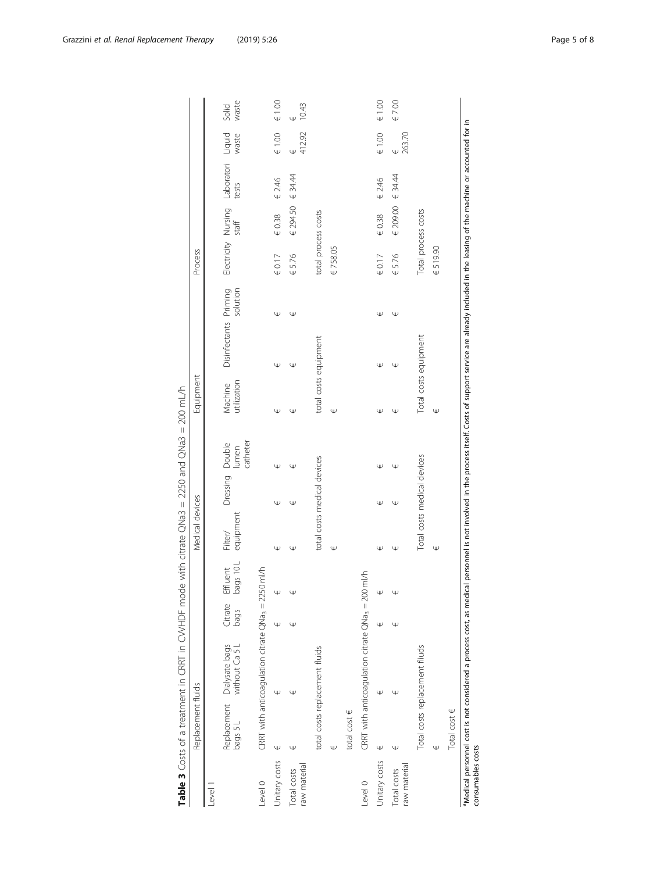<span id="page-4-0"></span>

|                             | Replacement fluids |                                                                                  |   |                                               | Medical devices             |                          |                                                                                                                                                  | Equipment              |                       |          | Process             |            |                                                            |                             |                |
|-----------------------------|--------------------|----------------------------------------------------------------------------------|---|-----------------------------------------------|-----------------------------|--------------------------|--------------------------------------------------------------------------------------------------------------------------------------------------|------------------------|-----------------------|----------|---------------------|------------|------------------------------------------------------------|-----------------------------|----------------|
| Level                       |                    |                                                                                  |   |                                               |                             |                          |                                                                                                                                                  |                        |                       |          |                     |            |                                                            |                             |                |
|                             | bags 5L            | Replacement Dialysate bags<br>bags 5 L without Ca 5 L                            |   | bags 10L<br>Citrate Effluent<br>bags bags 10L | equipment<br>Filter/        | Dressing Double<br>Iumen | catheter                                                                                                                                         | Machine<br>utilization | Disinfectants Priming | solution |                     |            | Electricity Nursing Laboratori Liquid<br>staff tests waste |                             | waste<br>Solid |
| Level 0                     |                    | CRRT with anticoagulation citrate $QNa_3 = 2250$                                 |   | ml/h                                          |                             |                          |                                                                                                                                                  |                        |                       |          |                     |            |                                                            |                             |                |
| Unitary costs               | Ψ                  | Ψ                                                                                | Ψ | Ψ                                             | Œ                           | Ψ                        | Ψ                                                                                                                                                | Ψ                      | Ψ                     | Ψ        | $\in 0.17$          | $\in 0.38$ | $\in$ 2.46                                                 | $\in 1.00$                  | $\in 1.00$     |
| raw material<br>Total costs | Ψ                  | Ψ                                                                                | ω | Ψ                                             | Ψ                           | Ψ                        | Ψ                                                                                                                                                | Ψ                      | Ψ                     | Ψ        | € 5.76              | € 294.50   | 634.44                                                     | 412.92<br>Ψ                 | 10.43          |
|                             |                    | total costs replacement fluids                                                   |   |                                               | total costs medical devices |                          |                                                                                                                                                  | total costs equipment  |                       |          | total process costs |            |                                                            |                             |                |
|                             | Ψ                  |                                                                                  |   |                                               | Ψ                           |                          |                                                                                                                                                  | Ψ                      |                       |          | € 758.05            |            |                                                            |                             |                |
|                             | total cost $\in$   |                                                                                  |   |                                               |                             |                          |                                                                                                                                                  |                        |                       |          |                     |            |                                                            |                             |                |
| Level 0                     |                    | CRRT with anticoagulation citrate QNa <sub>3</sub> = 200                         |   | ml/h                                          |                             |                          |                                                                                                                                                  |                        |                       |          |                     |            |                                                            |                             |                |
| Unitary costs               | Ψ                  | Ψ                                                                                | w | Ψ                                             | Ψ                           | Ψ                        | Ψ                                                                                                                                                | Ψ                      | Ψ                     | Ψ        | $\in 0.17$          | $\in 0.38$ | € 2.46                                                     | $\in 1.00$                  | $\in 1.00$     |
| raw material<br>Total costs | Ψ                  | Ψ                                                                                | Ψ | Ψ                                             | Ψ                           | Ψ                        | Ψ                                                                                                                                                | Ψ                      | Ψ                     | Ψ        | € 5.76              | € 209.00   | 634.44                                                     | 263.70<br>$\overline{\Psi}$ | € 7.00         |
|                             |                    | Total costs replacement fliuds                                                   |   |                                               | Total costs medical devices |                          |                                                                                                                                                  | Total costs equipment  |                       |          | Total process costs |            |                                                            |                             |                |
|                             | Ψ                  |                                                                                  |   |                                               | Ψ                           |                          |                                                                                                                                                  | $\mathbb \Psi$         |                       |          | €519.90             |            |                                                            |                             |                |
|                             | Total cost $\in$   |                                                                                  |   |                                               |                             |                          |                                                                                                                                                  |                        |                       |          |                     |            |                                                            |                             |                |
| consumables costs           |                    | <sup>a</sup> Medical personnel cost is not considered a process cost, as medical |   |                                               |                             |                          | personnel is not involved in the process itself. Costs of support service are already included in the leasing of the machine or accounted for in |                        |                       |          |                     |            |                                                            |                             |                |

Table 3 Costs of a treatment in CRRT in CVVHDF mode with citrate QNa3 = 2250 and QNa3 = 200 mL/h Table 3 Costs of a treatment in CRRT in CVVHDF mode with citrate QNa3 = 2250 and QNa3 = 200 mL/h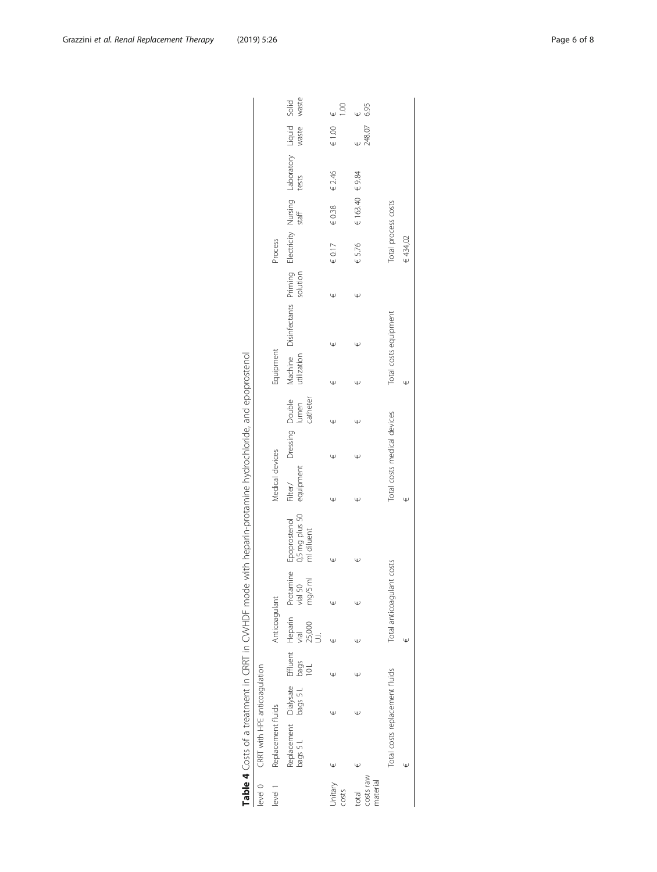<span id="page-5-0"></span>

| level 0                        | CRRT with HPE anticoagulation  |   |   |               |                           |                                              |                             |                                      |   |           |                                                                                          |   |                     |                   |        |                    |
|--------------------------------|--------------------------------|---|---|---------------|---------------------------|----------------------------------------------|-----------------------------|--------------------------------------|---|-----------|------------------------------------------------------------------------------------------|---|---------------------|-------------------|--------|--------------------|
| level 1                        | Replacement fluids             |   |   | Anticoagulant |                           |                                              | Medical devices             |                                      |   | Equipment |                                                                                          |   | Process             |                   |        |                    |
|                                |                                |   |   |               |                           | Epoprostenol<br>0,5 mg plus 50<br>ml diluent | Filter/<br>equipment        | Dressing Double<br>Iumen<br>catheter |   |           | Machine Disinfectants Priming Electricity Nursing Laboratory Liquid Solid<br>utilization |   |                     |                   |        |                    |
| Jnitary<br>costs               |                                | Ψ | Ψ | Ψ             | Ψ                         |                                              | w                           | Ψ                                    | Ψ | Ψ         | w                                                                                        | Ψ | $\in 0.17$          | $\in 0.38$        | € 2.46 | $\in 1.00$         |
| costs raw<br>material<br>total | Ψ                              | Ψ | Ψ | Ψ             |                           | Ψ                                            |                             | Ψ                                    |   |           | Ψ                                                                                        | Ψ | € 5.76              | € 163.40 $∈$ 9.84 |        | $\frac{6}{248.07}$ |
|                                | Total costs replacement fluids |   |   |               | Total anticoagulant costs |                                              | Total costs medical devices |                                      |   |           | Total costs equipment                                                                    |   | Total process costs |                   |        |                    |
|                                |                                |   |   | Ψ             |                           |                                              | Φ                           |                                      |   |           |                                                                                          |   | € 434,02            |                   |        |                    |

| )<br>)<br>)                                                                                       |  |
|---------------------------------------------------------------------------------------------------|--|
|                                                                                                   |  |
|                                                                                                   |  |
|                                                                                                   |  |
|                                                                                                   |  |
|                                                                                                   |  |
|                                                                                                   |  |
|                                                                                                   |  |
|                                                                                                   |  |
|                                                                                                   |  |
|                                                                                                   |  |
|                                                                                                   |  |
|                                                                                                   |  |
| l                                                                                                 |  |
| י                                                                                                 |  |
|                                                                                                   |  |
|                                                                                                   |  |
|                                                                                                   |  |
|                                                                                                   |  |
|                                                                                                   |  |
|                                                                                                   |  |
|                                                                                                   |  |
|                                                                                                   |  |
|                                                                                                   |  |
|                                                                                                   |  |
|                                                                                                   |  |
|                                                                                                   |  |
|                                                                                                   |  |
|                                                                                                   |  |
|                                                                                                   |  |
|                                                                                                   |  |
|                                                                                                   |  |
| $\frac{1}{2}$                                                                                     |  |
| ֖֖֖֖֧֧ׅ֧֧֖֧֖֧֧ׅ֧֧ׅ֧֧֧֧֧ׅ֧֧֧֧֧֧֧֧֧֧֧֧֧֧֧֧֧֧֧֧֧֧֧֧֧֧֧֧֚֚֚֚֚֚֚֚֚֚֚֚֚֚֚֚֚֚֚֚֚֬֕֕֝֬֝֘֜֝֬֝֬֝֬֝֬֜֝֬֜֝֬֜֜ |  |
|                                                                                                   |  |
|                                                                                                   |  |
|                                                                                                   |  |
|                                                                                                   |  |
|                                                                                                   |  |
|                                                                                                   |  |
|                                                                                                   |  |
|                                                                                                   |  |
|                                                                                                   |  |
|                                                                                                   |  |
|                                                                                                   |  |
|                                                                                                   |  |
|                                                                                                   |  |
|                                                                                                   |  |
|                                                                                                   |  |
|                                                                                                   |  |
|                                                                                                   |  |
|                                                                                                   |  |
|                                                                                                   |  |
|                                                                                                   |  |
| Į                                                                                                 |  |
|                                                                                                   |  |
|                                                                                                   |  |
|                                                                                                   |  |
|                                                                                                   |  |
| .<br>.<br>.                                                                                       |  |
| ĺ                                                                                                 |  |
|                                                                                                   |  |
|                                                                                                   |  |
|                                                                                                   |  |
|                                                                                                   |  |
|                                                                                                   |  |
|                                                                                                   |  |
|                                                                                                   |  |
| <br> <br> <br>                                                                                    |  |
| Ç                                                                                                 |  |
|                                                                                                   |  |
|                                                                                                   |  |
|                                                                                                   |  |
|                                                                                                   |  |
|                                                                                                   |  |
|                                                                                                   |  |
|                                                                                                   |  |
|                                                                                                   |  |
|                                                                                                   |  |
|                                                                                                   |  |
|                                                                                                   |  |
|                                                                                                   |  |
|                                                                                                   |  |
|                                                                                                   |  |
|                                                                                                   |  |
|                                                                                                   |  |
|                                                                                                   |  |
|                                                                                                   |  |
| I                                                                                                 |  |
|                                                                                                   |  |
|                                                                                                   |  |
|                                                                                                   |  |
| )<br> <br>                                                                                        |  |
|                                                                                                   |  |
|                                                                                                   |  |
| I<br>l<br>֦֧֚֡                                                                                    |  |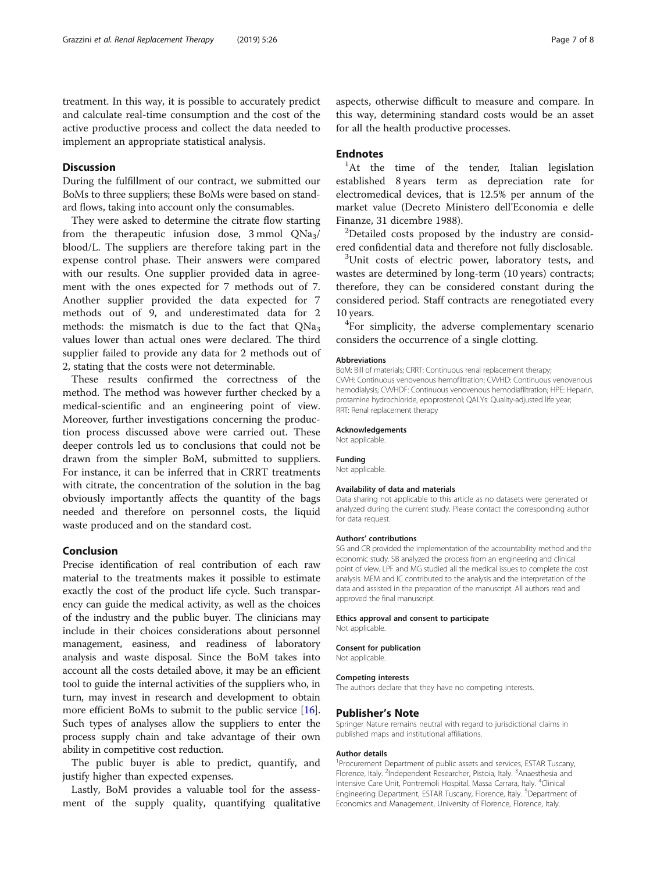treatment. In this way, it is possible to accurately predict and calculate real-time consumption and the cost of the active productive process and collect the data needed to implement an appropriate statistical analysis.

# **Discussion**

During the fulfillment of our contract, we submitted our BoMs to three suppliers; these BoMs were based on standard flows, taking into account only the consumables.

They were asked to determine the citrate flow starting from the therapeutic infusion dose,  $3 \text{ mmol}$  QNa<sub>3</sub>/ blood/L. The suppliers are therefore taking part in the expense control phase. Their answers were compared with our results. One supplier provided data in agreement with the ones expected for 7 methods out of 7. Another supplier provided the data expected for 7 methods out of 9, and underestimated data for 2 methods: the mismatch is due to the fact that  $ONa<sub>3</sub>$ values lower than actual ones were declared. The third supplier failed to provide any data for 2 methods out of 2, stating that the costs were not determinable.

These results confirmed the correctness of the method. The method was however further checked by a medical-scientific and an engineering point of view. Moreover, further investigations concerning the production process discussed above were carried out. These deeper controls led us to conclusions that could not be drawn from the simpler BoM, submitted to suppliers. For instance, it can be inferred that in CRRT treatments with citrate, the concentration of the solution in the bag obviously importantly affects the quantity of the bags needed and therefore on personnel costs, the liquid waste produced and on the standard cost.

#### Conclusion

Precise identification of real contribution of each raw material to the treatments makes it possible to estimate exactly the cost of the product life cycle. Such transparency can guide the medical activity, as well as the choices of the industry and the public buyer. The clinicians may include in their choices considerations about personnel management, easiness, and readiness of laboratory analysis and waste disposal. Since the BoM takes into account all the costs detailed above, it may be an efficient tool to guide the internal activities of the suppliers who, in turn, may invest in research and development to obtain more efficient BoMs to submit to the public service [[16](#page-7-0)]. Such types of analyses allow the suppliers to enter the process supply chain and take advantage of their own ability in competitive cost reduction.

The public buyer is able to predict, quantify, and justify higher than expected expenses.

Lastly, BoM provides a valuable tool for the assessment of the supply quality, quantifying qualitative aspects, otherwise difficult to measure and compare. In this way, determining standard costs would be an asset for all the health productive processes.

# Endnotes

<sup>1</sup>At the time of the tender, Italian legislation established 8 years term as depreciation rate for electromedical devices, that is 12.5% per annum of the market value (Decreto Ministero dell'Economia e delle Finanze, 31 dicembre 1988). <sup>2</sup>

<sup>2</sup>Detailed costs proposed by the industry are considered confidential data and therefore not fully disclosable. <sup>3</sup>

<sup>3</sup>Unit costs of electric power, laboratory tests, and wastes are determined by long-term (10 years) contracts; therefore, they can be considered constant during the considered period. Staff contracts are renegotiated every 10 years.

<sup>4</sup>For simplicity, the adverse complementary scenario considers the occurrence of a single clotting.

#### Abbreviations

BoM: Bill of materials; CRRT: Continuous renal replacement therapy; CVVH: Continuous venovenous hemofiltration; CVVHD: Continuous venovenous hemodialysis; CVVHDF: Continuous venovenous hemodiafiltration; HPE: Heparin, protamine hydrochloride, epoprostenol; QALYs: Quality-adjusted life year; RRT: Renal replacement therapy

#### Acknowledgements

Not applicable.

#### Funding

Not applicable.

#### Availability of data and materials

Data sharing not applicable to this article as no datasets were generated or analyzed during the current study. Please contact the corresponding author for data request.

#### Authors' contributions

SG and CR provided the implementation of the accountability method and the economic study. SB analyzed the process from an engineering and clinical point of view. LPF and MG studied all the medical issues to complete the cost analysis. MEM and IC contributed to the analysis and the interpretation of the data and assisted in the preparation of the manuscript. All authors read and approved the final manuscript.

#### Ethics approval and consent to participate

Not applicable.

# Consent for publication

Not applicable.

#### Competing interests

The authors declare that they have no competing interests.

#### Publisher's Note

Springer Nature remains neutral with regard to jurisdictional claims in published maps and institutional affiliations.

#### Author details

<sup>1</sup> Procurement Department of public assets and services, ESTAR Tuscany, Florence, Italy. <sup>2</sup>Independent Researcher, Pistoia, Italy. <sup>3</sup>Anaesthesia and Intensive Care Unit, Pontremoli Hospital, Massa Carrara, Italy. <sup>4</sup>Clinical Engineering Department, ESTAR Tuscany, Florence, Italy. <sup>5</sup>Department of Economics and Management, University of Florence, Florence, Italy.